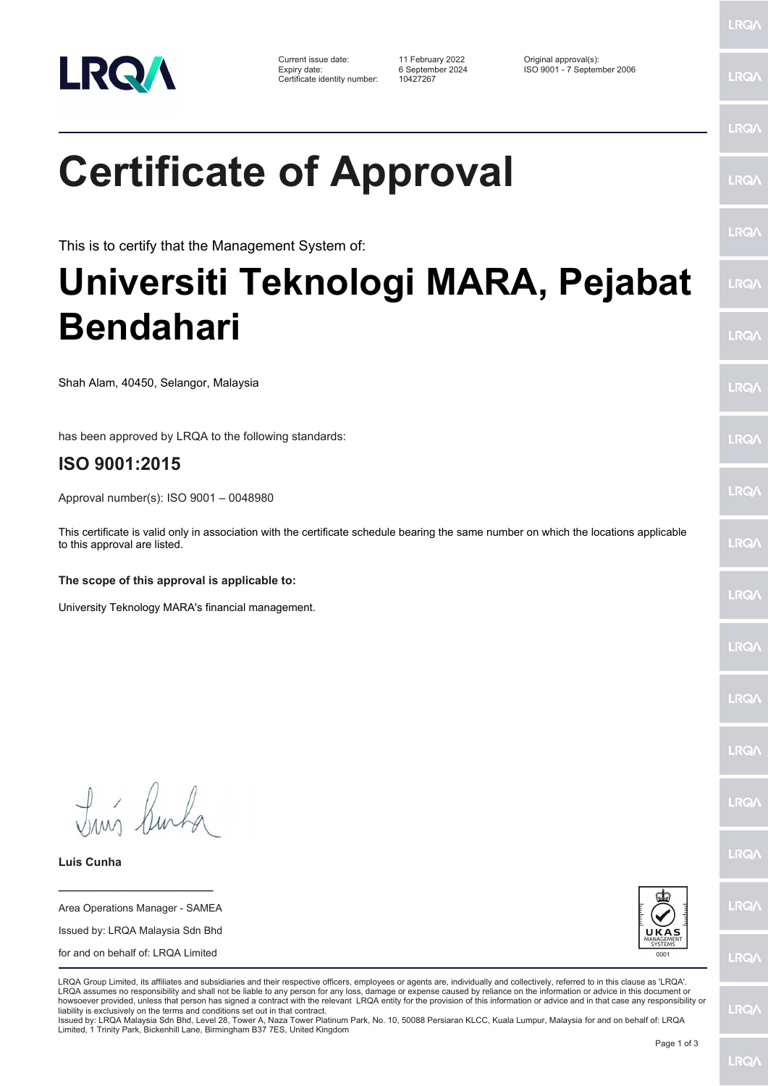

Certificate identity number: 10427267

Current issue date: 11 February 2022 Original approval(s): Expiry date: 6 September 2024 ISO 9001 - 7 September 2006

LRQ/

## LRQ/

LRQ/

LRQ/

LRQ/

LRQ/

LRQ/

LRQ/

**LRQA** 

LRQ/

LRQ/

LRQ/

LRQ/

**LRQ/** 

LRQ/

**IRQA** 

LRQ/

LRQ/

**LRQ/** 

LRQ/

**Certificate of Approval**

This is to certify that the Management System of:

## **Universiti Teknologi MARA, Pejabat Bendahari**

Shah Alam, 40450, Selangor, Malaysia

has been approved by LRQA to the following standards:

## **ISO 9001:2015**

Approval number(s): ISO 9001 – 0048980

This certificate is valid only in association with the certificate schedule bearing the same number on which the locations applicable to this approval are listed.

**The scope of this approval is applicable to:**

University Teknology MARA's financial management.

Tun Burha

**Luis Cunha**

Area Operations Manager - SAMEA Issued by: LRQA Malaysia Sdn Bhd for and on behalf of: LRQA Limited

**\_\_\_\_\_\_\_\_\_\_\_\_\_\_\_\_\_\_\_\_\_\_\_\_**



LRQA Group Limited, its affiliates and subsidiaries and their respective officers, employees or agents are, individually and collectively, referred to in this clause as 'LRQA' LRQA assumes no responsibility and shall not be liable to any person for any loss, damage or expense caused by reliance on the information or advice in this document or howsoever provided, unless that person has signed a contract with the relevant LRQA entity for the provision of this information or advice and in that case any responsibility or<br>liability is exclusively on the terms and co

Issued by: LRQA Malaysia Sdn Bhd, Level 28, Tower A, Naza Tower Platinum Park, No. 10, 50088 Persiaran KLCC, Kuala Lumpur, Malaysia for and on behalf of: LRQA Limited, 1 Trinity Park, Bickenhill Lane, Birmingham B37 7ES, United Kingdom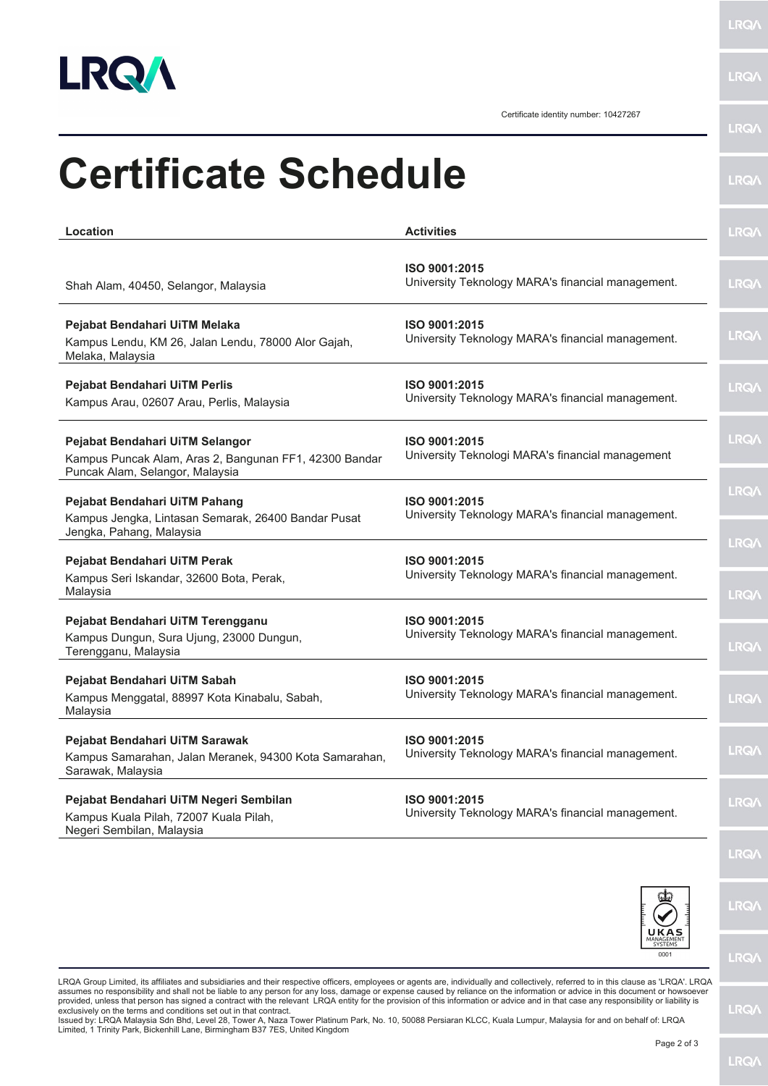

j.

**LRQA** 

Certificate identity number: 10427267

|                                                                                                                              |                                                                    | <b>LRQA</b>                 |
|------------------------------------------------------------------------------------------------------------------------------|--------------------------------------------------------------------|-----------------------------|
| <b>Certificate Schedule</b>                                                                                                  |                                                                    | <b>LRQA</b>                 |
| Location                                                                                                                     | <b>Activities</b>                                                  | <b>LRQA</b>                 |
| Shah Alam, 40450, Selangor, Malaysia                                                                                         | ISO 9001:2015<br>University Teknology MARA's financial management. | <b>LRQA</b>                 |
| Pejabat Bendahari UiTM Melaka<br>Kampus Lendu, KM 26, Jalan Lendu, 78000 Alor Gajah,<br>Melaka, Malaysia                     | ISO 9001:2015<br>University Teknology MARA's financial management. | <b>LRQ/\</b>                |
| Pejabat Bendahari UiTM Perlis<br>Kampus Arau, 02607 Arau, Perlis, Malaysia                                                   | ISO 9001:2015<br>University Teknology MARA's financial management. | <b>LRQ/\</b>                |
| Pejabat Bendahari UiTM Selangor<br>Kampus Puncak Alam, Aras 2, Bangunan FF1, 42300 Bandar<br>Puncak Alam, Selangor, Malaysia | ISO 9001:2015<br>University Teknologi MARA's financial management  | <b>LRQA</b>                 |
| Pejabat Bendahari UiTM Pahang<br>Kampus Jengka, Lintasan Semarak, 26400 Bandar Pusat<br>Jengka, Pahang, Malaysia             | ISO 9001:2015<br>University Teknology MARA's financial management. | <b>LRQA</b>                 |
| Pejabat Bendahari UiTM Perak<br>Kampus Seri Iskandar, 32600 Bota, Perak,<br>Malaysia                                         | ISO 9001:2015<br>University Teknology MARA's financial management. | <b>LRQ/\</b><br><b>LRQA</b> |
| Pejabat Bendahari UiTM Terengganu<br>Kampus Dungun, Sura Ujung, 23000 Dungun,<br>Terengganu, Malaysia                        | ISO 9001:2015<br>University Teknology MARA's financial management. | <b>LRQA</b>                 |
| Pejabat Bendahari UiTM Sabah<br>Kampus Menggatal, 88997 Kota Kinabalu, Sabah,<br>Malaysia                                    | ISO 9001:2015<br>University Teknology MARA's financial management. | LRQ/                        |
| Pejabat Bendahari UiTM Sarawak<br>Kampus Samarahan, Jalan Meranek, 94300 Kota Samarahan,<br>Sarawak, Malaysia                | ISO 9001:2015<br>University Teknology MARA's financial management. | <b>LRQ/</b>                 |
| Pejabat Bendahari UiTM Negeri Sembilan<br>Kampus Kuala Pilah, 72007 Kuala Pilah,<br>Negeri Sembilan, Malaysia                | ISO 9001:2015<br>University Teknology MARA's financial management. | <b>LRQA</b>                 |
|                                                                                                                              |                                                                    | LRQ/                        |



LRQ/

LRQ/

**LRQ/\** 

LRQA Group Limited, its affiliates and subsidiaries and their respective officers, employees or agents are, individually and collectively, referred to in this clause as 'LRQA'. LRQA assumes no responsibility and shall not be liable to any person for any loss, damage or expense caused by reliance on the information or advice in this document or howsoever<br>provided, unless that person has signed a contra